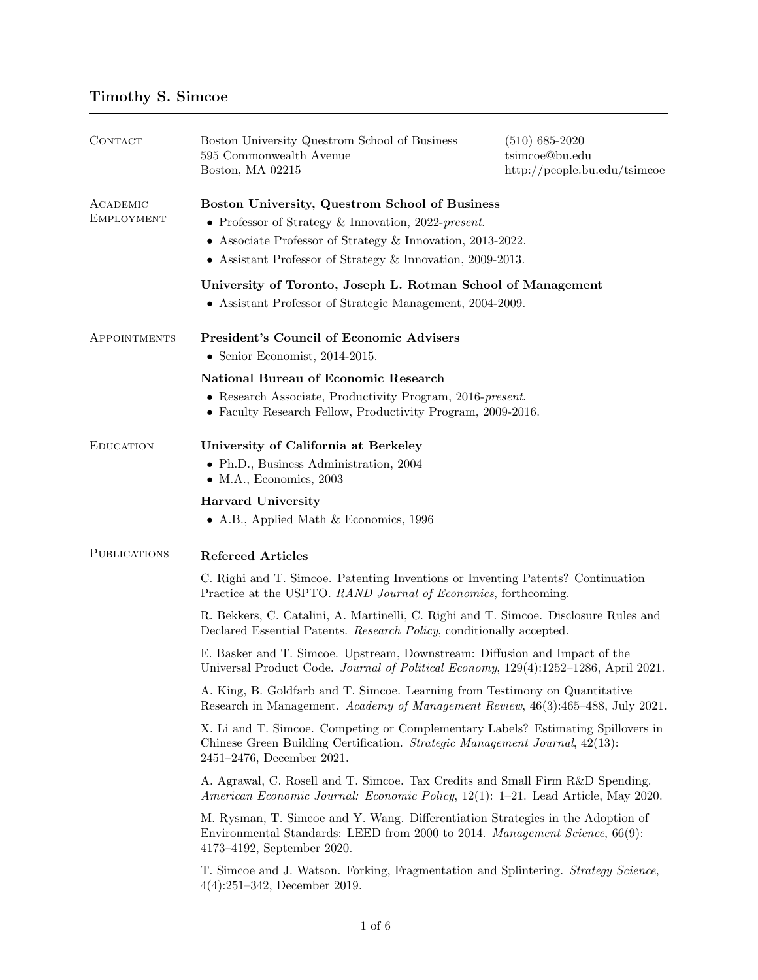| CONTACT                       | Boston University Questrom School of Business<br>595 Commonwealth Avenue<br>Boston, MA 02215                                                                                                                                      | $(510)$ 685-2020<br>tsimcoe@bu.edu<br>$\frac{http://people.bu.edu/tsimcoe}{http://people.bu.edu/tsimcoe}$ |
|-------------------------------|-----------------------------------------------------------------------------------------------------------------------------------------------------------------------------------------------------------------------------------|-----------------------------------------------------------------------------------------------------------|
| ACADEMIC<br><b>EMPLOYMENT</b> | Boston University, Questrom School of Business<br>• Professor of Strategy & Innovation, 2022-present.<br>• Associate Professor of Strategy & Innovation, 2013-2022.<br>• Assistant Professor of Strategy & Innovation, 2009-2013. |                                                                                                           |
|                               | University of Toronto, Joseph L. Rotman School of Management<br>• Assistant Professor of Strategic Management, 2004-2009.                                                                                                         |                                                                                                           |
| APPOINTMENTS                  | <b>President's Council of Economic Advisers</b><br>• Senior Economist, $2014-2015$ .                                                                                                                                              |                                                                                                           |
|                               | <b>National Bureau of Economic Research</b><br>• Research Associate, Productivity Program, 2016-present.<br>• Faculty Research Fellow, Productivity Program, 2009-2016.                                                           |                                                                                                           |
| <b>EDUCATION</b>              | University of California at Berkeley<br>• Ph.D., Business Administration, 2004<br>$\bullet$ M.A., Economics, 2003                                                                                                                 |                                                                                                           |
|                               | <b>Harvard University</b><br>• A.B., Applied Math $&$ Economics, 1996                                                                                                                                                             |                                                                                                           |
| <b>PUBLICATIONS</b>           | <b>Refereed Articles</b>                                                                                                                                                                                                          |                                                                                                           |
|                               | C. Righi and T. Simcoe. Patenting Inventions or Inventing Patents? Continuation<br>Practice at the USPTO. RAND Journal of Economics, forthcoming.                                                                                 |                                                                                                           |
|                               | R. Bekkers, C. Catalini, A. Martinelli, C. Righi and T. Simcoe. Disclosure Rules and<br>Declared Essential Patents. Research Policy, conditionally accepted.                                                                      |                                                                                                           |
|                               | E. Basker and T. Simcoe. Upstream, Downstream: Diffusion and Impact of the<br>Universal Product Code. Journal of Political Economy, 129(4):1252-1286, April 2021.                                                                 |                                                                                                           |
|                               | A. King, B. Goldfarb and T. Simcoe. Learning from Testimony on Quantitative<br>Research in Management. Academy of Management Review, 46(3):465-488, July 2021.                                                                    |                                                                                                           |
|                               | X. Li and T. Simcoe. Competing or Complementary Labels? Estimating Spillovers in<br>Chinese Green Building Certification. Strategic Management Journal, 42(13):<br>2451-2476, December 2021.                                      |                                                                                                           |
|                               | A. Agrawal, C. Rosell and T. Simcoe. Tax Credits and Small Firm R&D Spending.<br>American Economic Journal: Economic Policy, 12(1): 1–21. Lead Article, May 2020.                                                                 |                                                                                                           |
|                               | M. Rysman, T. Simcoe and Y. Wang. Differentiation Strategies in the Adoption of<br>Environmental Standards: LEED from 2000 to 2014. Management Science, 66(9):<br>$4173 - 4192$ , September 2020.                                 |                                                                                                           |
|                               | T. Simcoe and J. Watson. Forking, Fragmentation and Splintering. Strategy Science,<br>$4(4):251-342$ , December 2019.                                                                                                             |                                                                                                           |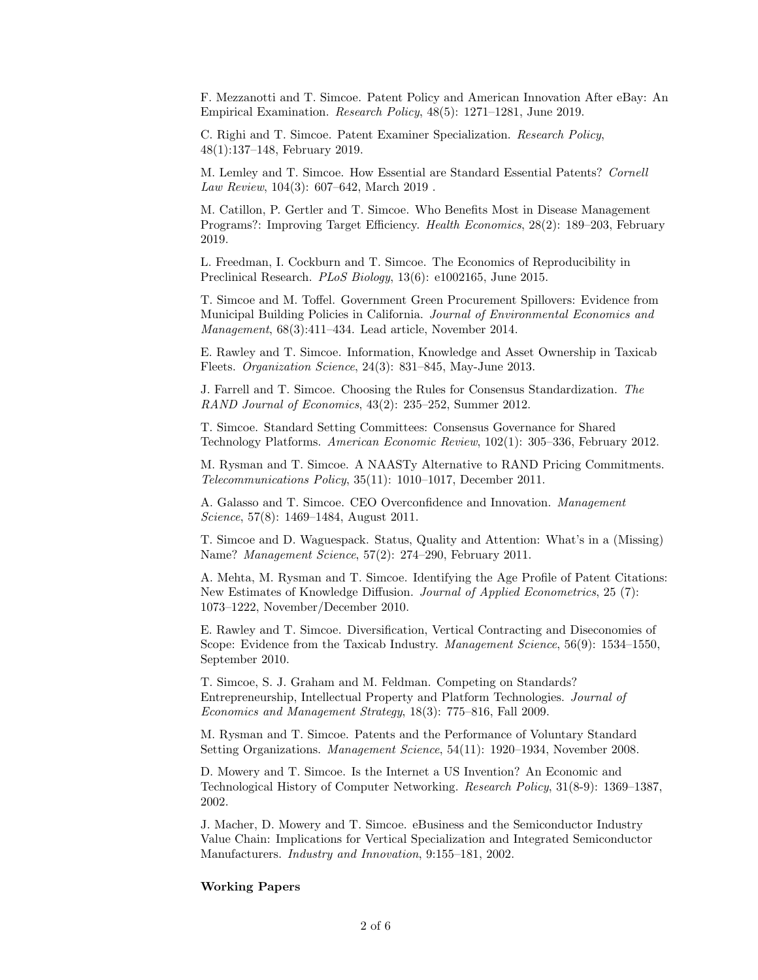F. Mezzanotti and T. Simcoe. Patent Policy and American Innovation After eBay: An Empirical Examination. Research Policy, 48(5): 1271–1281, June 2019.

C. Righi and T. Simcoe. Patent Examiner Specialization. Research Policy, 48(1):137–148, February 2019.

M. Lemley and T. Simcoe. How Essential are Standard Essential Patents? Cornell Law Review, 104(3): 607–642, March 2019 .

M. Catillon, P. Gertler and T. Simcoe. Who Benefits Most in Disease Management Programs?: Improving Target Efficiency. Health Economics, 28(2): 189–203, February 2019.

L. Freedman, I. Cockburn and T. Simcoe. The Economics of Reproducibility in Preclinical Research. PLoS Biology, 13(6): e1002165, June 2015.

T. Simcoe and M. Toffel. Government Green Procurement Spillovers: Evidence from Municipal Building Policies in California. Journal of Environmental Economics and Management, 68(3):411–434. Lead article, November 2014.

E. Rawley and T. Simcoe. Information, Knowledge and Asset Ownership in Taxicab Fleets. Organization Science, 24(3): 831–845, May-June 2013.

J. Farrell and T. Simcoe. Choosing the Rules for Consensus Standardization. The RAND Journal of Economics, 43(2): 235–252, Summer 2012.

T. Simcoe. Standard Setting Committees: Consensus Governance for Shared Technology Platforms. American Economic Review, 102(1): 305–336, February 2012.

M. Rysman and T. Simcoe. A NAASTy Alternative to RAND Pricing Commitments. Telecommunications Policy, 35(11): 1010–1017, December 2011.

A. Galasso and T. Simcoe. CEO Overconfidence and Innovation. Management Science, 57(8): 1469–1484, August 2011.

T. Simcoe and D. Waguespack. Status, Quality and Attention: What's in a (Missing) Name? Management Science, 57(2): 274–290, February 2011.

A. Mehta, M. Rysman and T. Simcoe. Identifying the Age Profile of Patent Citations: New Estimates of Knowledge Diffusion. Journal of Applied Econometrics, 25 (7): 1073–1222, November/December 2010.

E. Rawley and T. Simcoe. Diversification, Vertical Contracting and Diseconomies of Scope: Evidence from the Taxicab Industry. Management Science, 56(9): 1534–1550, September 2010.

T. Simcoe, S. J. Graham and M. Feldman. Competing on Standards? Entrepreneurship, Intellectual Property and Platform Technologies. Journal of Economics and Management Strategy, 18(3): 775–816, Fall 2009.

M. Rysman and T. Simcoe. Patents and the Performance of Voluntary Standard Setting Organizations. Management Science, 54(11): 1920–1934, November 2008.

D. Mowery and T. Simcoe. Is the Internet a US Invention? An Economic and Technological History of Computer Networking. Research Policy, 31(8-9): 1369–1387, 2002.

J. Macher, D. Mowery and T. Simcoe. eBusiness and the Semiconductor Industry Value Chain: Implications for Vertical Specialization and Integrated Semiconductor Manufacturers. Industry and Innovation, 9:155–181, 2002.

## Working Papers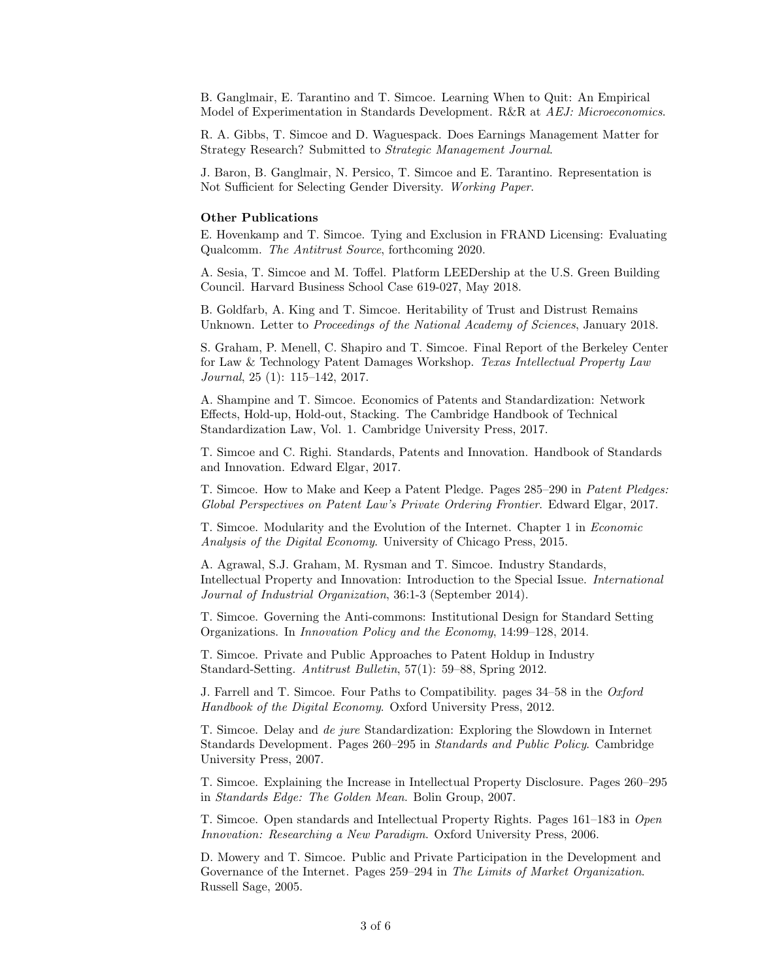B. Ganglmair, E. Tarantino and T. Simcoe. Learning When to Quit: An Empirical Model of Experimentation in Standards Development. R&R at AEJ: Microeconomics.

R. A. Gibbs, T. Simcoe and D. Waguespack. Does Earnings Management Matter for Strategy Research? Submitted to Strategic Management Journal.

J. Baron, B. Ganglmair, N. Persico, T. Simcoe and E. Tarantino. Representation is Not Sufficient for Selecting Gender Diversity. Working Paper.

## Other Publications

E. Hovenkamp and T. Simcoe. Tying and Exclusion in FRAND Licensing: Evaluating Qualcomm. The Antitrust Source, forthcoming 2020.

A. Sesia, T. Simcoe and M. Toffel. Platform LEEDership at the U.S. Green Building Council. Harvard Business School Case 619-027, May 2018.

B. Goldfarb, A. King and T. Simcoe. Heritability of Trust and Distrust Remains Unknown. Letter to Proceedings of the National Academy of Sciences, January 2018.

S. Graham, P. Menell, C. Shapiro and T. Simcoe. Final Report of the Berkeley Center for Law & Technology Patent Damages Workshop. Texas Intellectual Property Law Journal, 25 (1): 115–142, 2017.

A. Shampine and T. Simcoe. Economics of Patents and Standardization: Network Effects, Hold-up, Hold-out, Stacking. The Cambridge Handbook of Technical Standardization Law, Vol. 1. Cambridge University Press, 2017.

T. Simcoe and C. Righi. Standards, Patents and Innovation. Handbook of Standards and Innovation. Edward Elgar, 2017.

T. Simcoe. How to Make and Keep a Patent Pledge. Pages 285–290 in Patent Pledges: Global Perspectives on Patent Law's Private Ordering Frontier. Edward Elgar, 2017.

T. Simcoe. Modularity and the Evolution of the Internet. Chapter 1 in Economic Analysis of the Digital Economy. University of Chicago Press, 2015.

A. Agrawal, S.J. Graham, M. Rysman and T. Simcoe. Industry Standards, Intellectual Property and Innovation: Introduction to the Special Issue. International Journal of Industrial Organization, 36:1-3 (September 2014).

T. Simcoe. Governing the Anti-commons: Institutional Design for Standard Setting Organizations. In Innovation Policy and the Economy, 14:99–128, 2014.

T. Simcoe. Private and Public Approaches to Patent Holdup in Industry Standard-Setting. Antitrust Bulletin, 57(1): 59–88, Spring 2012.

J. Farrell and T. Simcoe. Four Paths to Compatibility. pages 34–58 in the Oxford Handbook of the Digital Economy. Oxford University Press, 2012.

T. Simcoe. Delay and de jure Standardization: Exploring the Slowdown in Internet Standards Development. Pages 260–295 in Standards and Public Policy. Cambridge University Press, 2007.

T. Simcoe. Explaining the Increase in Intellectual Property Disclosure. Pages 260–295 in Standards Edge: The Golden Mean. Bolin Group, 2007.

T. Simcoe. Open standards and Intellectual Property Rights. Pages 161–183 in Open Innovation: Researching a New Paradigm. Oxford University Press, 2006.

D. Mowery and T. Simcoe. Public and Private Participation in the Development and Governance of the Internet. Pages 259–294 in The Limits of Market Organization. Russell Sage, 2005.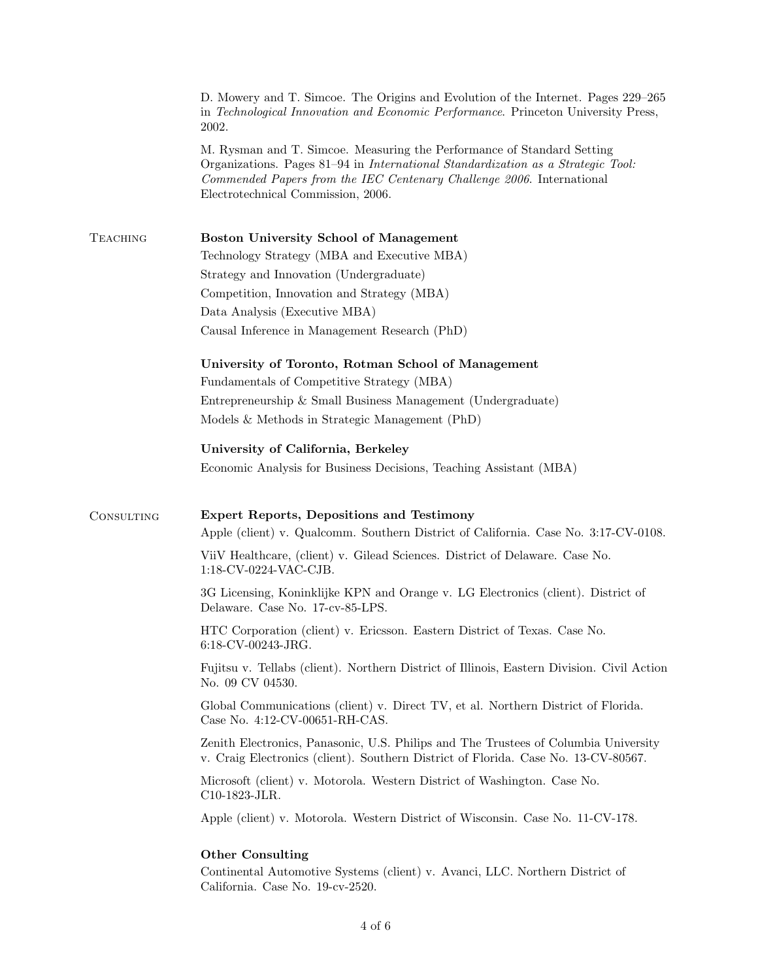|                 | D. Mowery and T. Simcoe. The Origins and Evolution of the Internet. Pages 229–265<br>in Technological Innovation and Economic Performance. Princeton University Press,<br>2002.                                                                                           |  |
|-----------------|---------------------------------------------------------------------------------------------------------------------------------------------------------------------------------------------------------------------------------------------------------------------------|--|
|                 | M. Rysman and T. Simcoe. Measuring the Performance of Standard Setting<br>Organizations. Pages 81–94 in International Standardization as a Strategic Tool:<br>Commended Papers from the IEC Centenary Challenge 2006. International<br>Electrotechnical Commission, 2006. |  |
| <b>TEACHING</b> | <b>Boston University School of Management</b>                                                                                                                                                                                                                             |  |
|                 | Technology Strategy (MBA and Executive MBA)                                                                                                                                                                                                                               |  |
|                 | Strategy and Innovation (Undergraduate)                                                                                                                                                                                                                                   |  |
|                 | Competition, Innovation and Strategy (MBA)                                                                                                                                                                                                                                |  |
|                 | Data Analysis (Executive MBA)<br>Causal Inference in Management Research (PhD)                                                                                                                                                                                            |  |
|                 | University of Toronto, Rotman School of Management                                                                                                                                                                                                                        |  |
|                 | Fundamentals of Competitive Strategy (MBA)                                                                                                                                                                                                                                |  |
|                 | Entrepreneurship & Small Business Management (Undergraduate)                                                                                                                                                                                                              |  |
|                 | Models & Methods in Strategic Management (PhD)                                                                                                                                                                                                                            |  |
|                 | University of California, Berkeley                                                                                                                                                                                                                                        |  |
|                 | Economic Analysis for Business Decisions, Teaching Assistant (MBA)                                                                                                                                                                                                        |  |
| CONSULTING      | Expert Reports, Depositions and Testimony<br>Apple (client) v. Qualcomm. Southern District of California. Case No. 3:17-CV-0108.                                                                                                                                          |  |
|                 | ViiV Healthcare, (client) v. Gilead Sciences. District of Delaware. Case No.<br>1:18-CV-0224-VAC-CJB.                                                                                                                                                                     |  |
|                 | 3G Licensing, Koninklijke KPN and Orange v. LG Electronics (client). District of<br>Delaware. Case No. 17-cv-85-LPS.                                                                                                                                                      |  |
|                 | HTC Corporation (client) v. Ericsson. Eastern District of Texas. Case No.<br>6:18-CV-00243-JRG.                                                                                                                                                                           |  |
|                 | Fujitsu v. Tellabs (client). Northern District of Illinois, Eastern Division. Civil Action<br>No. 09 CV 04530.                                                                                                                                                            |  |
|                 | Global Communications (client) v. Direct TV, et al. Northern District of Florida.<br>Case No. 4:12-CV-00651-RH-CAS.                                                                                                                                                       |  |
|                 | Zenith Electronics, Panasonic, U.S. Philips and The Trustees of Columbia University<br>v. Craig Electronics (client). Southern District of Florida. Case No. 13-CV-80567.                                                                                                 |  |
|                 | Microsoft (client) v. Motorola. Western District of Washington. Case No.<br>C10-1823-JLR.                                                                                                                                                                                 |  |
|                 | Apple (client) v. Motorola. Western District of Wisconsin. Case No. 11-CV-178.                                                                                                                                                                                            |  |
|                 | <b>Other Consulting</b>                                                                                                                                                                                                                                                   |  |
|                 | Continental Automotive Systems (client) v. Avanci, LLC. Northern District of<br>California. Case No. 19-cv-2520.                                                                                                                                                          |  |
|                 |                                                                                                                                                                                                                                                                           |  |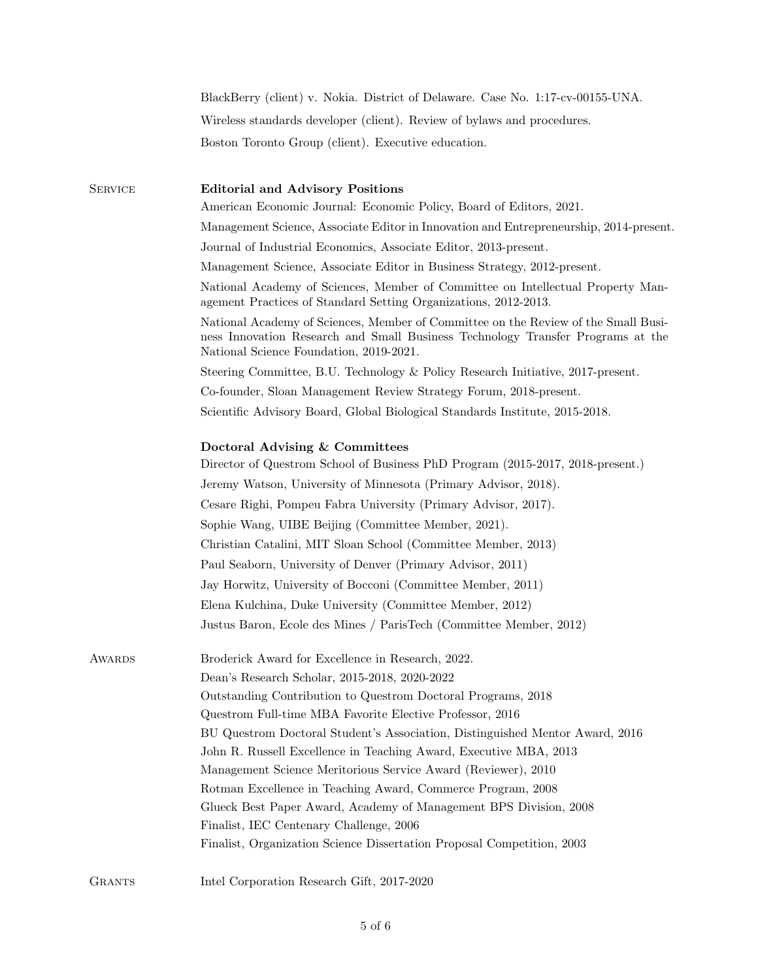|                | BlackBerry (client) v. Nokia. District of Delaware. Case No. 1:17-cv-00155-UNA.                                                                                                                                  |
|----------------|------------------------------------------------------------------------------------------------------------------------------------------------------------------------------------------------------------------|
|                | Wireless standards developer (client). Review of bylaws and procedures.                                                                                                                                          |
|                | Boston Toronto Group (client). Executive education.                                                                                                                                                              |
| <b>SERVICE</b> | <b>Editorial and Advisory Positions</b>                                                                                                                                                                          |
|                | American Economic Journal: Economic Policy, Board of Editors, 2021.                                                                                                                                              |
|                | Management Science, Associate Editor in Innovation and Entrepreneurship, 2014-present.                                                                                                                           |
|                | Journal of Industrial Economics, Associate Editor, 2013-present.                                                                                                                                                 |
|                | Management Science, Associate Editor in Business Strategy, 2012-present.                                                                                                                                         |
|                | National Academy of Sciences, Member of Committee on Intellectual Property Man-<br>agement Practices of Standard Setting Organizations, 2012-2013.                                                               |
|                | National Academy of Sciences, Member of Committee on the Review of the Small Busi-<br>ness Innovation Research and Small Business Technology Transfer Programs at the<br>National Science Foundation, 2019-2021. |
|                | Steering Committee, B.U. Technology & Policy Research Initiative, 2017-present.                                                                                                                                  |
|                | Co-founder, Sloan Management Review Strategy Forum, 2018-present.                                                                                                                                                |
|                | Scientific Advisory Board, Global Biological Standards Institute, 2015-2018.                                                                                                                                     |
|                | Doctoral Advising & Committees<br>Director of Questrom School of Business PhD Program (2015-2017, 2018-present.)                                                                                                 |
|                | Jeremy Watson, University of Minnesota (Primary Advisor, 2018).                                                                                                                                                  |
|                | Cesare Righi, Pompeu Fabra University (Primary Advisor, 2017).                                                                                                                                                   |
|                | Sophie Wang, UIBE Beijing (Committee Member, 2021).                                                                                                                                                              |
|                | Christian Catalini, MIT Sloan School (Committee Member, 2013)                                                                                                                                                    |
|                | Paul Seaborn, University of Denver (Primary Advisor, 2011)                                                                                                                                                       |
|                | Jay Horwitz, University of Bocconi (Committee Member, 2011)                                                                                                                                                      |
|                | Elena Kulchina, Duke University (Committee Member, 2012)                                                                                                                                                         |
|                | Justus Baron, Ecole des Mines / ParisTech (Committee Member, 2012)                                                                                                                                               |
| AWARDS         | Broderick Award for Excellence in Research, 2022.                                                                                                                                                                |
|                | Dean's Research Scholar, 2015-2018, 2020-2022                                                                                                                                                                    |
|                | Outstanding Contribution to Questrom Doctoral Programs, 2018                                                                                                                                                     |
|                | Questrom Full-time MBA Favorite Elective Professor, 2016                                                                                                                                                         |
|                | BU Questrom Doctoral Student's Association, Distinguished Mentor Award, 2016                                                                                                                                     |
|                | John R. Russell Excellence in Teaching Award, Executive MBA, 2013                                                                                                                                                |
|                | Management Science Meritorious Service Award (Reviewer), 2010                                                                                                                                                    |
|                | Rotman Excellence in Teaching Award, Commerce Program, 2008                                                                                                                                                      |
|                | Glueck Best Paper Award, Academy of Management BPS Division, 2008                                                                                                                                                |
|                | Finalist, IEC Centenary Challenge, 2006                                                                                                                                                                          |
|                | Finalist, Organization Science Dissertation Proposal Competition, 2003                                                                                                                                           |
| <b>GRANTS</b>  | Intel Corporation Research Gift, 2017-2020                                                                                                                                                                       |